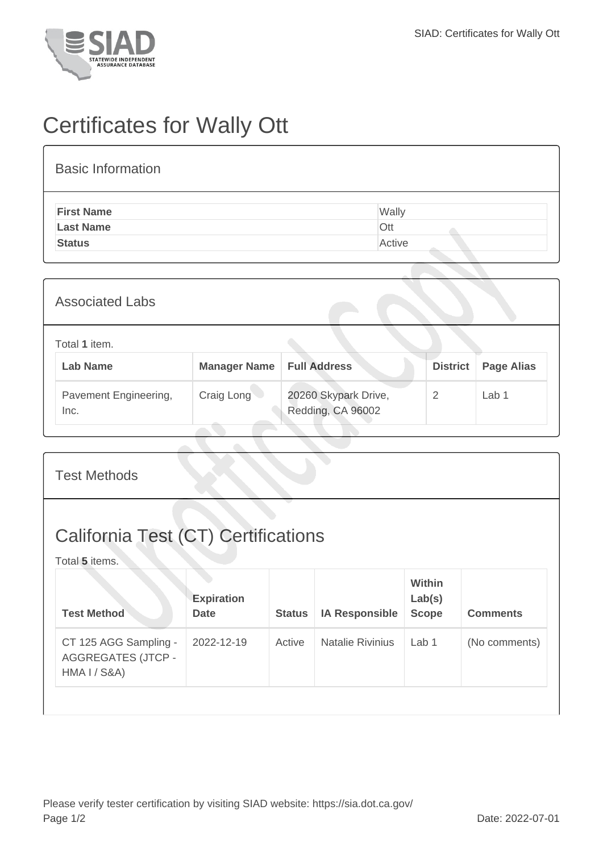

## Certificates for Wally Ott

| <b>Basic Information</b> |        |
|--------------------------|--------|
| <b>First Name</b>        | Wally  |
| <b>Last Name</b>         | Ott    |
| <b>Status</b>            | Active |

| <b>Associated Labs</b>           |                     |                                           |                 |                   |
|----------------------------------|---------------------|-------------------------------------------|-----------------|-------------------|
| Total 1 item.<br><b>Lab Name</b> | <b>Manager Name</b> | <b>Full Address</b>                       | <b>District</b> | <b>Page Alias</b> |
| Pavement Engineering,<br>Inc.    | Craig Long          | 20260 Skypark Drive,<br>Redding, CA 96002 | 2               | Lab <sub>1</sub>  |

| <b>California Test (CT) Certifications</b><br>Total 5 items.                                                          |                                         |                 |  |  |  |  |
|-----------------------------------------------------------------------------------------------------------------------|-----------------------------------------|-----------------|--|--|--|--|
| <b>Expiration</b><br><b>Test Method</b><br><b>IA Responsible</b><br><b>Date</b><br><b>Status</b>                      | <b>Within</b><br>Lab(s)<br><b>Scope</b> | <b>Comments</b> |  |  |  |  |
| <b>Natalie Rivinius</b><br>CT 125 AGG Sampling -<br>2022-12-19<br>Active<br><b>AGGREGATES (JTCP -</b><br>HMA I / S8A) | Lab $1$                                 | (No comments)   |  |  |  |  |